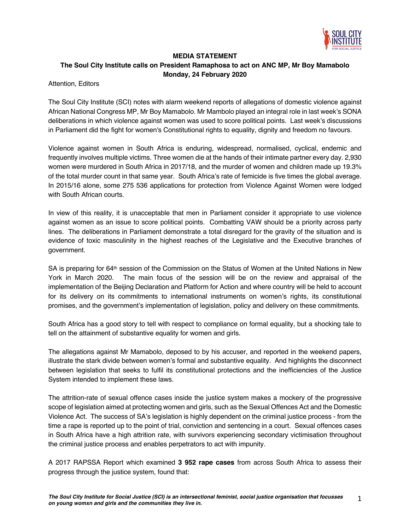

## **MEDIA STATEMENT**

## **The Soul City Institute calls on President Ramaphosa to act on ANC MP, Mr Boy Mamabolo Monday, 24 February 2020**

Attention, Editors

The Soul City Institute (SCI) notes with alarm weekend reports of allegations of domestic violence against African National Congress MP, Mr Boy Mamabolo. Mr Mambolo played an integral role in last week's SONA deliberations in which violence against women was used to score political points. Last week's discussions in Parliament did the fight for women's Constitutional rights to equality, dignity and freedom no favours.

Violence against women in South Africa is enduring, widespread, normalised, cyclical, endemic and frequently involves multiple victims. Three women die at the hands of their intimate partner every day. 2,930 women were murdered in South Africa in 2017/18, and the murder of women and children made up 19.3% of the total murder count in that same year. South Africa's rate of femicide is five times the global average. In 2015/16 alone, some 275 536 applications for protection from Violence Against Women were lodged with South African courts.

In view of this reality, it is unacceptable that men in Parliament consider it appropriate to use violence against women as an issue to score political points. Combatting VAW should be a priority across party lines. The deliberations in Parliament demonstrate a total disregard for the gravity of the situation and is evidence of toxic masculinity in the highest reaches of the Legislative and the Executive branches of government.

SA is preparing for 64<sup>th</sup> session of the Commission on the Status of Women at the United Nations in New York in March 2020. The main focus of the session will be on the review and appraisal of the implementation of the Beijing Declaration and Platform for Action and where country will be held to account for its delivery on its commitments to international instruments on women's rights, its constitutional promises, and the government's implementation of legislation, policy and delivery on these commitments.

South Africa has a good story to tell with respect to compliance on formal equality, but a shocking tale to tell on the attainment of substantive equality for women and girls.

The allegations against Mr Mamabolo, deposed to by his accuser, and reported in the weekend papers, illustrate the stark divide between women's formal and substantive equality. And highlights the disconnect between legislation that seeks to fulfil its constitutional protections and the inefficiencies of the Justice System intended to implement these laws.

The attrition-rate of sexual offence cases inside the justice system makes a mockery of the progressive scope of legislation aimed at protecting women and girls, such as the Sexual Offences Act and the Domestic Violence Act. The success of SA's legislation is highly dependent on the criminal justice process - from the time a rape is reported up to the point of trial, conviction and sentencing in a court. Sexual offences cases in South Africa have a high attrition rate, with survivors experiencing secondary victimisation throughout the criminal justice process and enables perpetrators to act with impunity.

A 2017 RAPSSA Report which examined **3 952 rape cases** from across South Africa to assess their progress through the justice system, found that: